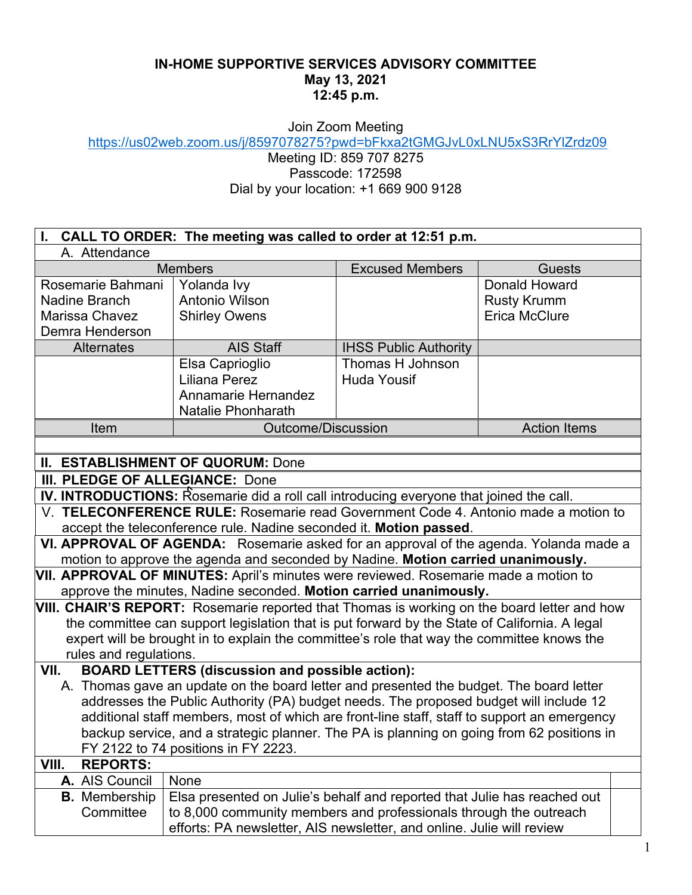## **IN-HOME SUPPORTIVE SERVICES ADVISORY COMMITTEE May 13, 2021 12:45 p.m.**

Join Zoom Meeting

https://us02web.zoom.us/j/8597078275?pwd=bFkxa2tGMGJvL0xLNU5xS3RrYlZrdz09

Meeting ID: 859 707 8275 Passcode: 172598 Dial by your location: +1 669 900 9128

| CALL TO ORDER: The meeting was called to order at 12:51 p.m.                                                                                                                                                                                                                                                                                                                                                        |                                                                                                                                                                                                                        |                                        |                                                             |  |
|---------------------------------------------------------------------------------------------------------------------------------------------------------------------------------------------------------------------------------------------------------------------------------------------------------------------------------------------------------------------------------------------------------------------|------------------------------------------------------------------------------------------------------------------------------------------------------------------------------------------------------------------------|----------------------------------------|-------------------------------------------------------------|--|
| A. Attendance                                                                                                                                                                                                                                                                                                                                                                                                       |                                                                                                                                                                                                                        |                                        |                                                             |  |
| <b>Members</b>                                                                                                                                                                                                                                                                                                                                                                                                      |                                                                                                                                                                                                                        | <b>Excused Members</b>                 | <b>Guests</b>                                               |  |
| Rosemarie Bahmani<br>Nadine Branch<br><b>Marissa Chavez</b><br>Demra Henderson                                                                                                                                                                                                                                                                                                                                      | Yolanda Ivy<br>Antonio Wilson<br><b>Shirley Owens</b>                                                                                                                                                                  |                                        | Donald Howard<br><b>Rusty Krumm</b><br><b>Erica McClure</b> |  |
| <b>Alternates</b>                                                                                                                                                                                                                                                                                                                                                                                                   | <b>AIS Staff</b>                                                                                                                                                                                                       | <b>IHSS Public Authority</b>           |                                                             |  |
|                                                                                                                                                                                                                                                                                                                                                                                                                     | Elsa Caprioglio<br><b>Liliana Perez</b><br><b>Annamarie Hernandez</b><br><b>Natalie Phonharath</b>                                                                                                                     | Thomas H Johnson<br><b>Huda Yousif</b> |                                                             |  |
| Item                                                                                                                                                                                                                                                                                                                                                                                                                | <b>Outcome/Discussion</b>                                                                                                                                                                                              |                                        | <b>Action Items</b>                                         |  |
|                                                                                                                                                                                                                                                                                                                                                                                                                     |                                                                                                                                                                                                                        |                                        |                                                             |  |
| <b>II. ESTABLISHMENT OF QUORUM: Done</b>                                                                                                                                                                                                                                                                                                                                                                            |                                                                                                                                                                                                                        |                                        |                                                             |  |
| III. PLEDGE OF ALLEGIANCE: Done                                                                                                                                                                                                                                                                                                                                                                                     |                                                                                                                                                                                                                        |                                        |                                                             |  |
| IV. INTRODUCTIONS: Rosemarie did a roll call introducing everyone that joined the call.                                                                                                                                                                                                                                                                                                                             |                                                                                                                                                                                                                        |                                        |                                                             |  |
| V. TELECONFERENCE RULE: Rosemarie read Government Code 4. Antonio made a motion to                                                                                                                                                                                                                                                                                                                                  |                                                                                                                                                                                                                        |                                        |                                                             |  |
| accept the teleconference rule. Nadine seconded it. Motion passed.                                                                                                                                                                                                                                                                                                                                                  |                                                                                                                                                                                                                        |                                        |                                                             |  |
| VI. APPROVAL OF AGENDA: Rosemarie asked for an approval of the agenda. Yolanda made a                                                                                                                                                                                                                                                                                                                               |                                                                                                                                                                                                                        |                                        |                                                             |  |
| motion to approve the agenda and seconded by Nadine. Motion carried unanimously.                                                                                                                                                                                                                                                                                                                                    |                                                                                                                                                                                                                        |                                        |                                                             |  |
| VII. APPROVAL OF MINUTES: April's minutes were reviewed. Rosemarie made a motion to                                                                                                                                                                                                                                                                                                                                 |                                                                                                                                                                                                                        |                                        |                                                             |  |
| approve the minutes, Nadine seconded. Motion carried unanimously.<br>VIII. CHAIR'S REPORT: Rosemarie reported that Thomas is working on the board letter and how                                                                                                                                                                                                                                                    |                                                                                                                                                                                                                        |                                        |                                                             |  |
| the committee can support legislation that is put forward by the State of California. A legal<br>expert will be brought in to explain the committee's role that way the committee knows the<br>rules and regulations.                                                                                                                                                                                               |                                                                                                                                                                                                                        |                                        |                                                             |  |
| <b>BOARD LETTERS (discussion and possible action):</b><br>VII.                                                                                                                                                                                                                                                                                                                                                      |                                                                                                                                                                                                                        |                                        |                                                             |  |
| A. Thomas gave an update on the board letter and presented the budget. The board letter<br>addresses the Public Authority (PA) budget needs. The proposed budget will include 12<br>additional staff members, most of which are front-line staff, staff to support an emergency<br>backup service, and a strategic planner. The PA is planning on going from 62 positions in<br>FY 2122 to 74 positions in FY 2223. |                                                                                                                                                                                                                        |                                        |                                                             |  |
| VIII.<br><b>REPORTS:</b>                                                                                                                                                                                                                                                                                                                                                                                            |                                                                                                                                                                                                                        |                                        |                                                             |  |
| A. AIS Council                                                                                                                                                                                                                                                                                                                                                                                                      | None                                                                                                                                                                                                                   |                                        |                                                             |  |
| <b>B.</b> Membership<br>Committee                                                                                                                                                                                                                                                                                                                                                                                   | Elsa presented on Julie's behalf and reported that Julie has reached out<br>to 8,000 community members and professionals through the outreach<br>efforts: PA newsletter, AIS newsletter, and online. Julie will review |                                        |                                                             |  |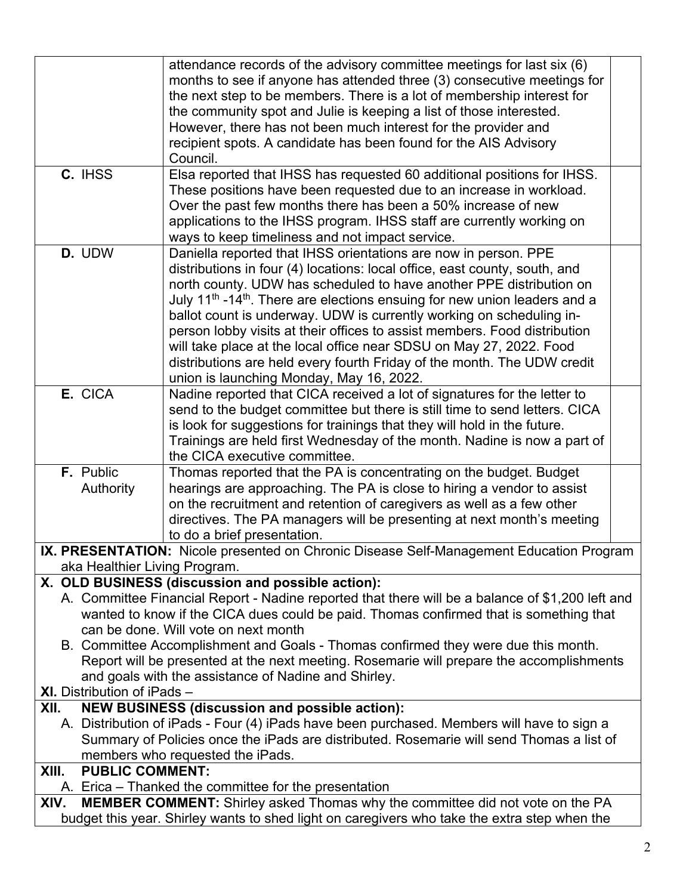|                                                                                                                                                     | attendance records of the advisory committee meetings for last six (6)                            |  |  |
|-----------------------------------------------------------------------------------------------------------------------------------------------------|---------------------------------------------------------------------------------------------------|--|--|
|                                                                                                                                                     | months to see if anyone has attended three (3) consecutive meetings for                           |  |  |
|                                                                                                                                                     | the next step to be members. There is a lot of membership interest for                            |  |  |
|                                                                                                                                                     | the community spot and Julie is keeping a list of those interested.                               |  |  |
|                                                                                                                                                     | However, there has not been much interest for the provider and                                    |  |  |
|                                                                                                                                                     | recipient spots. A candidate has been found for the AIS Advisory                                  |  |  |
|                                                                                                                                                     | Council.                                                                                          |  |  |
| C. IHSS                                                                                                                                             | Elsa reported that IHSS has requested 60 additional positions for IHSS.                           |  |  |
|                                                                                                                                                     | These positions have been requested due to an increase in workload.                               |  |  |
|                                                                                                                                                     | Over the past few months there has been a 50% increase of new                                     |  |  |
|                                                                                                                                                     | applications to the IHSS program. IHSS staff are currently working on                             |  |  |
|                                                                                                                                                     | ways to keep timeliness and not impact service.                                                   |  |  |
| D. UDW                                                                                                                                              | Daniella reported that IHSS orientations are now in person. PPE                                   |  |  |
|                                                                                                                                                     | distributions in four (4) locations: local office, east county, south, and                        |  |  |
|                                                                                                                                                     | north county. UDW has scheduled to have another PPE distribution on                               |  |  |
|                                                                                                                                                     | July 11 <sup>th</sup> -14 <sup>th</sup> . There are elections ensuing for new union leaders and a |  |  |
|                                                                                                                                                     | ballot count is underway. UDW is currently working on scheduling in-                              |  |  |
|                                                                                                                                                     | person lobby visits at their offices to assist members. Food distribution                         |  |  |
|                                                                                                                                                     | will take place at the local office near SDSU on May 27, 2022. Food                               |  |  |
|                                                                                                                                                     | distributions are held every fourth Friday of the month. The UDW credit                           |  |  |
|                                                                                                                                                     | union is launching Monday, May 16, 2022.                                                          |  |  |
| E. CICA                                                                                                                                             | Nadine reported that CICA received a lot of signatures for the letter to                          |  |  |
|                                                                                                                                                     | send to the budget committee but there is still time to send letters. CICA                        |  |  |
|                                                                                                                                                     | is look for suggestions for trainings that they will hold in the future.                          |  |  |
|                                                                                                                                                     | Trainings are held first Wednesday of the month. Nadine is now a part of                          |  |  |
|                                                                                                                                                     | the CICA executive committee.                                                                     |  |  |
| F. Public                                                                                                                                           | Thomas reported that the PA is concentrating on the budget. Budget                                |  |  |
| Authority                                                                                                                                           | hearings are approaching. The PA is close to hiring a vendor to assist                            |  |  |
|                                                                                                                                                     | on the recruitment and retention of caregivers as well as a few other                             |  |  |
|                                                                                                                                                     | directives. The PA managers will be presenting at next month's meeting                            |  |  |
|                                                                                                                                                     | to do a brief presentation.                                                                       |  |  |
|                                                                                                                                                     | IX. PRESENTATION: Nicole presented on Chronic Disease Self-Management Education Program           |  |  |
| aka Healthier Living Program.                                                                                                                       |                                                                                                   |  |  |
| X. OLD BUSINESS (discussion and possible action):                                                                                                   |                                                                                                   |  |  |
| A. Committee Financial Report - Nadine reported that there will be a balance of \$1,200 left and                                                    |                                                                                                   |  |  |
| wanted to know if the CICA dues could be paid. Thomas confirmed that is something that                                                              |                                                                                                   |  |  |
| can be done. Will vote on next month                                                                                                                |                                                                                                   |  |  |
| B. Committee Accomplishment and Goals - Thomas confirmed they were due this month.                                                                  |                                                                                                   |  |  |
| Report will be presented at the next meeting. Rosemarie will prepare the accomplishments                                                            |                                                                                                   |  |  |
| and goals with the assistance of Nadine and Shirley.                                                                                                |                                                                                                   |  |  |
| <b>XI.</b> Distribution of iPads -                                                                                                                  |                                                                                                   |  |  |
| XII.                                                                                                                                                |                                                                                                   |  |  |
| <b>NEW BUSINESS (discussion and possible action):</b><br>A. Distribution of iPads - Four (4) iPads have been purchased. Members will have to sign a |                                                                                                   |  |  |
| Summary of Policies once the iPads are distributed. Rosemarie will send Thomas a list of                                                            |                                                                                                   |  |  |
| members who requested the iPads.                                                                                                                    |                                                                                                   |  |  |
| <b>PUBLIC COMMENT:</b><br>XIII.                                                                                                                     |                                                                                                   |  |  |
| A. Erica – Thanked the committee for the presentation                                                                                               |                                                                                                   |  |  |
| <b>MEMBER COMMENT:</b> Shirley asked Thomas why the committee did not vote on the PA<br>XIV.                                                        |                                                                                                   |  |  |
|                                                                                                                                                     | budget this year. Shirley wants to shed light on caregivers who take the extra step when the      |  |  |